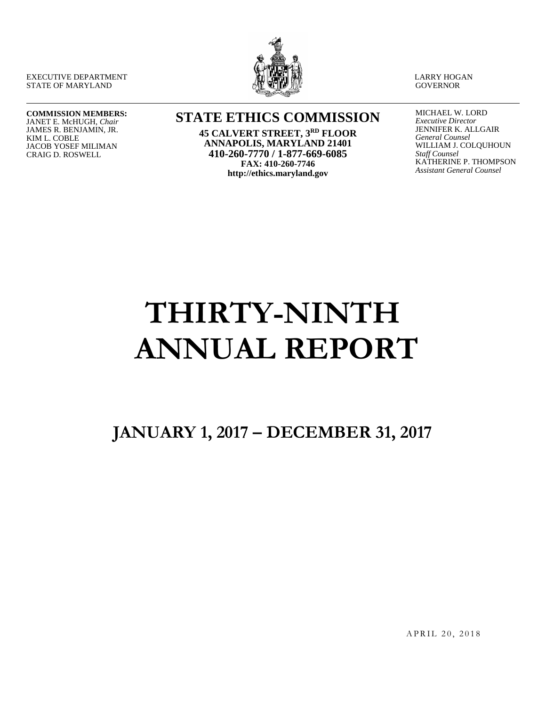EXECUTIVE DEPARTMENT STATE OF MARYLAND



LARRY HOGAN **GOVERNOR** 

#### **COMMISSION MEMBERS:** JANET E. McHUGH, *Chair*

JAMES R. BENJAMIN, JR. KIM L. COBLE JACOB YOSEF MILIMAN CRAIG D. ROSWELL

# **STATE ETHICS COMMISSION 45 CALVERT STREET, 3RD FLOOR**

**ANNAPOLIS, MARYLAND 21401 410-260-7770 / 1-877-669-6085 FAX: 410-260-7746 http://ethics.maryland.gov**

MICHAEL W. LORD *Executive Director* JENNIFER K. ALLGAIR *General Counsel* WILLIAM J. COLQUHOUN *Staff Counsel* KATHERINE P. THOMPSON *Assistant General Counsel*

# **THIRTY-NINTH ANNUAL REPORT**

**JANUARY 1, 2017 – DECEMBER 31, 2017**

APRIL 20, 2018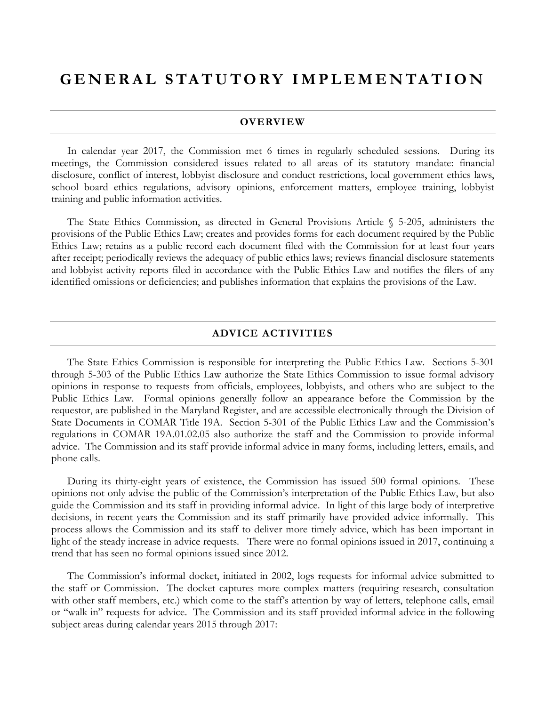# **GENERAL STATUTORY IM PLEMENTATION**

#### **OVERVIEW**

In calendar year 2017, the Commission met 6 times in regularly scheduled sessions. During its meetings, the Commission considered issues related to all areas of its statutory mandate: financial disclosure, conflict of interest, lobbyist disclosure and conduct restrictions, local government ethics laws, school board ethics regulations, advisory opinions, enforcement matters, employee training, lobbyist training and public information activities.

The State Ethics Commission, as directed in General Provisions Article § 5-205, administers the provisions of the Public Ethics Law; creates and provides forms for each document required by the Public Ethics Law; retains as a public record each document filed with the Commission for at least four years after receipt; periodically reviews the adequacy of public ethics laws; reviews financial disclosure statements and lobbyist activity reports filed in accordance with the Public Ethics Law and notifies the filers of any identified omissions or deficiencies; and publishes information that explains the provisions of the Law.

#### **ADVICE ACTIVITIES**

The State Ethics Commission is responsible for interpreting the Public Ethics Law. Sections 5-301 through 5-303 of the Public Ethics Law authorize the State Ethics Commission to issue formal advisory opinions in response to requests from officials, employees, lobbyists, and others who are subject to the Public Ethics Law. Formal opinions generally follow an appearance before the Commission by the requestor, are published in the Maryland Register, and are accessible electronically through the Division of State Documents in COMAR Title 19A. Section 5-301 of the Public Ethics Law and the Commission's regulations in COMAR 19A.01.02.05 also authorize the staff and the Commission to provide informal advice. The Commission and its staff provide informal advice in many forms, including letters, emails, and phone calls.

During its thirty-eight years of existence, the Commission has issued 500 formal opinions. These opinions not only advise the public of the Commission's interpretation of the Public Ethics Law, but also guide the Commission and its staff in providing informal advice. In light of this large body of interpretive decisions, in recent years the Commission and its staff primarily have provided advice informally. This process allows the Commission and its staff to deliver more timely advice, which has been important in light of the steady increase in advice requests. There were no formal opinions issued in 2017, continuing a trend that has seen no formal opinions issued since 2012.

The Commission's informal docket, initiated in 2002, logs requests for informal advice submitted to the staff or Commission. The docket captures more complex matters (requiring research, consultation with other staff members, etc.) which come to the staff's attention by way of letters, telephone calls, email or "walk in" requests for advice. The Commission and its staff provided informal advice in the following subject areas during calendar years 2015 through 2017: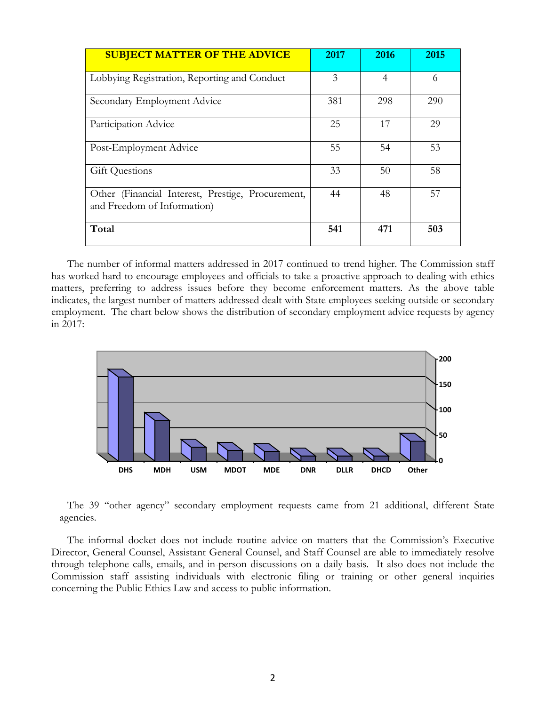| <b>SUBJECT MATTER OF THE ADVICE</b>                                              | 2017 | 2016 | 2015 |
|----------------------------------------------------------------------------------|------|------|------|
| Lobbying Registration, Reporting and Conduct                                     | 3    | 4    | 6    |
| Secondary Employment Advice                                                      | 381  | 298  | 290  |
| Participation Advice                                                             | 25   | 17   | 29   |
| Post-Employment Advice                                                           | 55   | 54   | 53   |
| <b>Gift Questions</b>                                                            | 33   | 50   | 58   |
| Other (Financial Interest, Prestige, Procurement,<br>and Freedom of Information) | 44   | 48   | 57   |
| Total                                                                            | 541  | 471  | 503  |

The number of informal matters addressed in 2017 continued to trend higher. The Commission staff has worked hard to encourage employees and officials to take a proactive approach to dealing with ethics matters, preferring to address issues before they become enforcement matters. As the above table indicates, the largest number of matters addressed dealt with State employees seeking outside or secondary employment. The chart below shows the distribution of secondary employment advice requests by agency in 2017:



The 39 "other agency" secondary employment requests came from 21 additional, different State agencies.

The informal docket does not include routine advice on matters that the Commission's Executive Director, General Counsel, Assistant General Counsel, and Staff Counsel are able to immediately resolve through telephone calls, emails, and in-person discussions on a daily basis. It also does not include the Commission staff assisting individuals with electronic filing or training or other general inquiries concerning the Public Ethics Law and access to public information.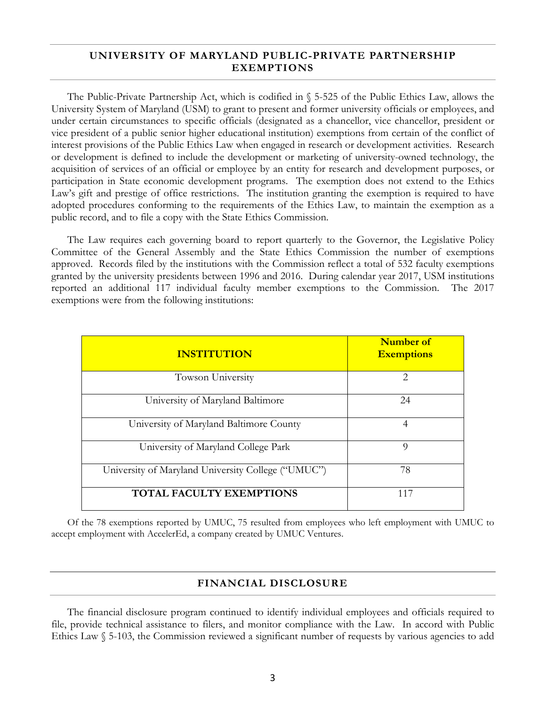#### **UNIVERSITY OF MARYLAND PUBLIC-PRIVATE PARTNERSHIP EXEMPTIONS**

The Public-Private Partnership Act, which is codified in § 5-525 of the Public Ethics Law, allows the University System of Maryland (USM) to grant to present and former university officials or employees, and under certain circumstances to specific officials (designated as a chancellor, vice chancellor, president or vice president of a public senior higher educational institution) exemptions from certain of the conflict of interest provisions of the Public Ethics Law when engaged in research or development activities. Research or development is defined to include the development or marketing of university-owned technology, the acquisition of services of an official or employee by an entity for research and development purposes, or participation in State economic development programs. The exemption does not extend to the Ethics Law's gift and prestige of office restrictions. The institution granting the exemption is required to have adopted procedures conforming to the requirements of the Ethics Law, to maintain the exemption as a public record, and to file a copy with the State Ethics Commission.

The Law requires each governing board to report quarterly to the Governor, the Legislative Policy Committee of the General Assembly and the State Ethics Commission the number of exemptions approved. Records filed by the institutions with the Commission reflect a total of 532 faculty exemptions granted by the university presidents between 1996 and 2016. During calendar year 2017, USM institutions reported an additional 117 individual faculty member exemptions to the Commission. The 2017 exemptions were from the following institutions:

| <b>INSTITUTION</b>                                 | Number of<br><b>Exemptions</b> |
|----------------------------------------------------|--------------------------------|
| Towson University                                  | $\mathcal{D}_{\mathcal{L}}$    |
| University of Maryland Baltimore                   | 24                             |
| University of Maryland Baltimore County            | 4                              |
| University of Maryland College Park                | $\Omega$                       |
| University of Maryland University College ("UMUC") | 78                             |
| TOTAL FACULTY EXEMPTIONS                           | 117                            |

Of the 78 exemptions reported by UMUC, 75 resulted from employees who left employment with UMUC to accept employment with AccelerEd, a company created by UMUC Ventures.

### **FINANCIAL DISCLOSURE**

The financial disclosure program continued to identify individual employees and officials required to file, provide technical assistance to filers, and monitor compliance with the Law. In accord with Public Ethics Law § 5-103, the Commission reviewed a significant number of requests by various agencies to add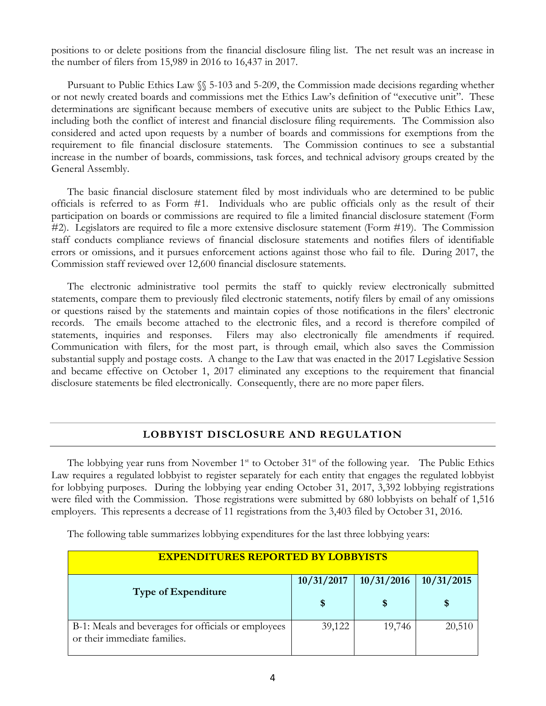positions to or delete positions from the financial disclosure filing list. The net result was an increase in the number of filers from 15,989 in 2016 to 16,437 in 2017.

Pursuant to Public Ethics Law §§ 5-103 and 5-209, the Commission made decisions regarding whether or not newly created boards and commissions met the Ethics Law's definition of "executive unit". These determinations are significant because members of executive units are subject to the Public Ethics Law, including both the conflict of interest and financial disclosure filing requirements. The Commission also considered and acted upon requests by a number of boards and commissions for exemptions from the requirement to file financial disclosure statements. The Commission continues to see a substantial increase in the number of boards, commissions, task forces, and technical advisory groups created by the General Assembly.

The basic financial disclosure statement filed by most individuals who are determined to be public officials is referred to as Form #1. Individuals who are public officials only as the result of their participation on boards or commissions are required to file a limited financial disclosure statement (Form #2). Legislators are required to file a more extensive disclosure statement (Form #19). The Commission staff conducts compliance reviews of financial disclosure statements and notifies filers of identifiable errors or omissions, and it pursues enforcement actions against those who fail to file. During 2017, the Commission staff reviewed over 12,600 financial disclosure statements.

The electronic administrative tool permits the staff to quickly review electronically submitted statements, compare them to previously filed electronic statements, notify filers by email of any omissions or questions raised by the statements and maintain copies of those notifications in the filers' electronic records. The emails become attached to the electronic files, and a record is therefore compiled of statements, inquiries and responses. Filers may also electronically file amendments if required. Communication with filers, for the most part, is through email, which also saves the Commission substantial supply and postage costs. A change to the Law that was enacted in the 2017 Legislative Session and became effective on October 1, 2017 eliminated any exceptions to the requirement that financial disclosure statements be filed electronically. Consequently, there are no more paper filers.

#### **LOBBYIST DISCLOSURE AND REGULATION**

The lobbying year runs from November  $1<sup>st</sup>$  to October  $31<sup>st</sup>$  of the following year. The Public Ethics Law requires a regulated lobbyist to register separately for each entity that engages the regulated lobbyist for lobbying purposes. During the lobbying year ending October 31, 2017, 3,392 lobbying registrations were filed with the Commission. Those registrations were submitted by 680 lobbyists on behalf of 1,516 employers. This represents a decrease of 11 registrations from the 3,403 filed by October 31, 2016.

The following table summarizes lobbying expenditures for the last three lobbying years:

| <b>EXPENDITURES REPORTED BY LOBBYISTS</b>                                           |            |            |            |
|-------------------------------------------------------------------------------------|------------|------------|------------|
| <b>Type of Expenditure</b>                                                          | 10/31/2017 | 10/31/2016 | 10/31/2015 |
|                                                                                     | S          | \$         |            |
| B-1: Meals and beverages for officials or employees<br>or their immediate families. | 39,122     | 19,746     | 20,510     |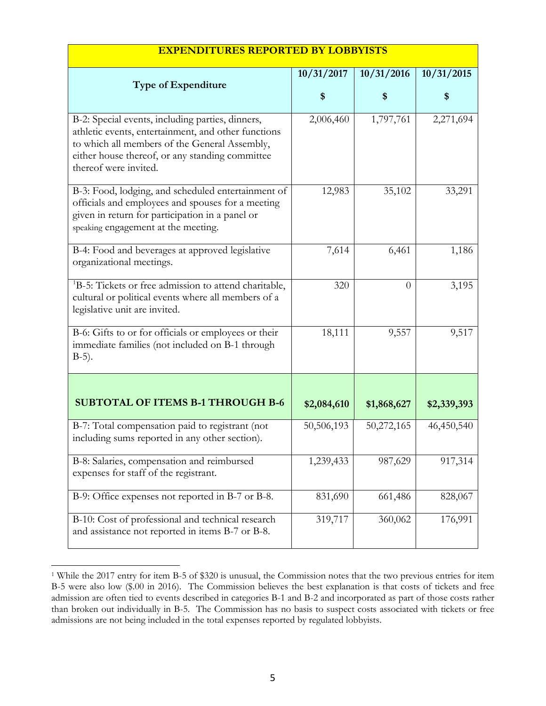| <b>Type of Expenditure</b>                                                                                                                                                                                                           | 10/31/2017  | 10/31/2016  | 10/31/2015  |
|--------------------------------------------------------------------------------------------------------------------------------------------------------------------------------------------------------------------------------------|-------------|-------------|-------------|
|                                                                                                                                                                                                                                      | \$          | \$          | \$          |
| B-2: Special events, including parties, dinners,<br>athletic events, entertainment, and other functions<br>to which all members of the General Assembly,<br>either house thereof, or any standing committee<br>thereof were invited. | 2,006,460   | 1,797,761   | 2,271,694   |
| B-3: Food, lodging, and scheduled entertainment of<br>officials and employees and spouses for a meeting<br>given in return for participation in a panel or<br>speaking engagement at the meeting.                                    | 12,983      | 35,102      | 33,291      |
| B-4: Food and beverages at approved legislative<br>organizational meetings.                                                                                                                                                          | 7,614       | 6,461       | 1,186       |
| <sup>1</sup> B-5: Tickets or free admission to attend charitable,<br>cultural or political events where all members of a<br>legislative unit are invited.                                                                            | 320         | $\Omega$    | 3,195       |
| B-6: Gifts to or for officials or employees or their<br>immediate families (not included on B-1 through<br>$B-5$ ).                                                                                                                  | 18,111      | 9,557       | 9,517       |
|                                                                                                                                                                                                                                      |             |             |             |
| <b>SUBTOTAL OF ITEMS B-1 THROUGH B-6</b>                                                                                                                                                                                             | \$2,084,610 | \$1,868,627 | \$2,339,393 |
| B-7: Total compensation paid to registrant (not<br>including sums reported in any other section).                                                                                                                                    | 50,506,193  | 50,272,165  | 46,450,540  |
| B-8: Salaries, compensation and reimbursed<br>expenses for staff of the registrant.                                                                                                                                                  | 1,239,433   | 987,629     | 917,314     |
| B-9: Office expenses not reported in B-7 or B-8.                                                                                                                                                                                     | 831,690     | 661,486     | 828,067     |
| B-10: Cost of professional and technical research<br>and assistance not reported in items B-7 or B-8.                                                                                                                                | 319,717     | 360,062     | 176,991     |

#### **EXPENDITURES REPORTED BY LOBBYISTS**

<span id="page-6-0"></span> <sup>1</sup> While the 2017 entry for item B-5 of \$320 is unusual, the Commission notes that the two previous entries for item B-5 were also low (\$.00 in 2016). The Commission believes the best explanation is that costs of tickets and free admission are often tied to events described in categories B-1 and B-2 and incorporated as part of those costs rather than broken out individually in B-5. The Commission has no basis to suspect costs associated with tickets or free admissions are not being included in the total expenses reported by regulated lobbyists.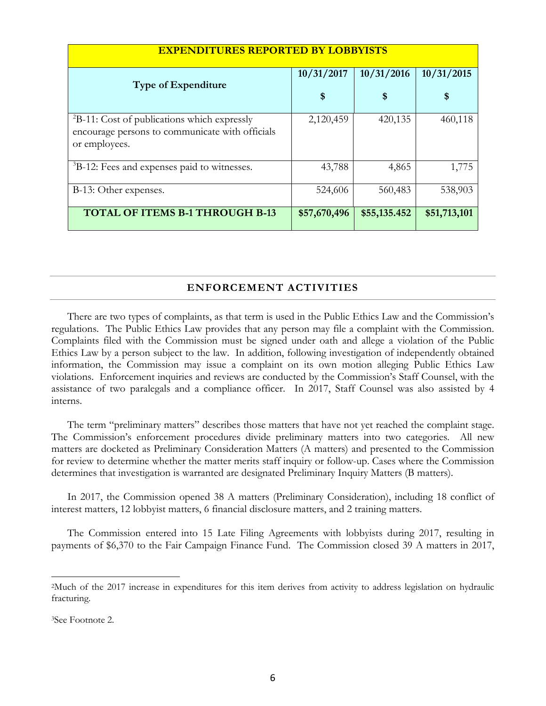| <b>EXPENDITURES REPORTED BY LOBBYISTS</b>                                                                               |              |              |              |
|-------------------------------------------------------------------------------------------------------------------------|--------------|--------------|--------------|
| <b>Type of Expenditure</b>                                                                                              | 10/31/2017   | 10/31/2016   | 10/31/2015   |
|                                                                                                                         | \$           | \$           | \$           |
| ${}^{2}B-11$ : Cost of publications which expressly<br>encourage persons to communicate with officials<br>or employees. | 2,120,459    | 420,135      | 460,118      |
| <sup>3</sup> B-12: Fees and expenses paid to witnesses.                                                                 | 43,788       | 4,865        | 1,775        |
| B-13: Other expenses.                                                                                                   | 524,606      | 560,483      | 538,903      |
| <b>TOTAL OF ITEMS B-1 THROUGH B-13</b>                                                                                  | \$57,670,496 | \$55,135.452 | \$51,713,101 |

#### **ENFORCEMENT ACTIVITIES**

There are two types of complaints, as that term is used in the Public Ethics Law and the Commission's regulations. The Public Ethics Law provides that any person may file a complaint with the Commission. Complaints filed with the Commission must be signed under oath and allege a violation of the Public Ethics Law by a person subject to the law. In addition, following investigation of independently obtained information, the Commission may issue a complaint on its own motion alleging Public Ethics Law violations. Enforcement inquiries and reviews are conducted by the Commission's Staff Counsel, with the assistance of two paralegals and a compliance officer. In 2017, Staff Counsel was also assisted by 4 interns.

The term "preliminary matters" describes those matters that have not yet reached the complaint stage. The Commission's enforcement procedures divide preliminary matters into two categories. All new matters are docketed as Preliminary Consideration Matters (A matters) and presented to the Commission for review to determine whether the matter merits staff inquiry or follow-up. Cases where the Commission determines that investigation is warranted are designated Preliminary Inquiry Matters (B matters).

In 2017, the Commission opened 38 A matters (Preliminary Consideration), including 18 conflict of interest matters, 12 lobbyist matters, 6 financial disclosure matters, and 2 training matters.

The Commission entered into 15 Late Filing Agreements with lobbyists during 2017, resulting in payments of \$6,370 to the Fair Campaign Finance Fund. The Commission closed 39 A matters in 2017,

<span id="page-7-0"></span> <sup>2</sup>Much of the 2017 increase in expenditures for this item derives from activity to address legislation on hydraulic fracturing.

<span id="page-7-1"></span><sup>3</sup>See Footnote 2.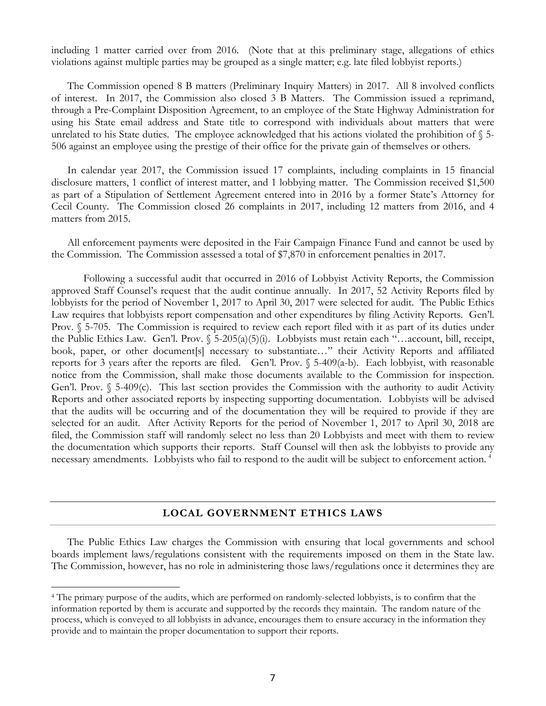including 1 matter carried over from 2016. (Note that at this preliminary stage, allegations of ethics violations against multiple parties may be grouped as a single matter; e.g. late filed lobbyist reports.)

The Commission opened 8 B matters (Preliminary Inquiry Matters) in 2017. All 8 involved conflicts of interest. In 2017, the Commission also closed 3 B Matters. The Commission issued a reprimand, through a Pre-Complaint Disposition Agreement, to an employee of the State Highway Administration for using his State email address and State title to correspond with individuals about matters that were unrelated to his State duties. The employee acknowledged that his actions violated the prohibition of  $\S$  5-506 against an employee using the prestige of their office for the private gain of themselves or others.

In calendar year 2017, the Commission issued 17 complaints, including complaints in 15 financial disclosure matters, 1 conflict of interest matter, and 1 lobbying matter. The Commission received \$1,500 as part of a Stipulation of Settlement Agreement entered into in 2016 by a former State's Attorney for Cecil County. The Commission closed 26 complaints in 2017, including 12 matters from 2016, and 4 matters from 2015.

All enforcement payments were deposited in the Fair Campaign Finance Fund and cannot be used by the Commission. The Commission assessed a total of \$7,870 in enforcement penalties in 2017.

Following a successful audit that occurred in 2016 of Lobbyist Activity Reports, the Commission approved Staff Counsel's request that the audit continue annually. In 2017, 52 Activity Reports filed by lobbyists for the period of November 1, 2017 to April 30, 2017 were selected for audit. The Public Ethics Law requires that lobbyists report compensation and other expenditures by filing Activity Reports. Gen'l. Prov. § 5-705. The Commission is required to review each report filed with it as part of its duties under the Public Ethics Law. Gen'l. Prov.  $\S$  5-205(a)(5)(i). Lobbyists must retain each "…account, bill, receipt, book, paper, or other document[s] necessary to substantiate..." their Activity Reports and affiliated reports for 3 years after the reports are filed. Gen'l. Prov.  $\sqrt{5}$ -409(a-b). Each lobbyist, with reasonable notice from the Commission, shall make those documents available to the Commission for inspection. Gen'l. Prov. § 5-409(c). This last section provides the Commission with the authority to audit Activity Reports and other associated reports by inspecting supporting documentation. Lobbyists will be advised that the audits will be occurring and of the documentation they will be required to provide if they are selected for an audit. After Activity Reports for the period of November 1, 2017 to April 30, 2018 are filed, the Commission staff will randomly select no less than 20 Lobbyists and meet with them to review the documentation which supports their reports. Staff Counsel will then ask the lobbyists to provide any necessary amendments. Lobbyists who fail to respond to the audit will be subject to enforcement action. [4](#page-8-0)

#### **LOCAL GOVERNMENT ETHICS LAWS**

The Public Ethics Law charges the Commission with ensuring that local governments and school boards implement laws/regulations consistent with the requirements imposed on them in the State law. The Commission, however, has no role in administering those laws/regulations once it determines they are

<span id="page-8-0"></span> <sup>4</sup> The primary purpose of the audits, which are performed on randomly-selected lobbyists, is to confirm that the information reported by them is accurate and supported by the records they maintain. The random nature of the process, which is conveyed to all lobbyists in advance, encourages them to ensure accuracy in the information they provide and to maintain the proper documentation to support their reports.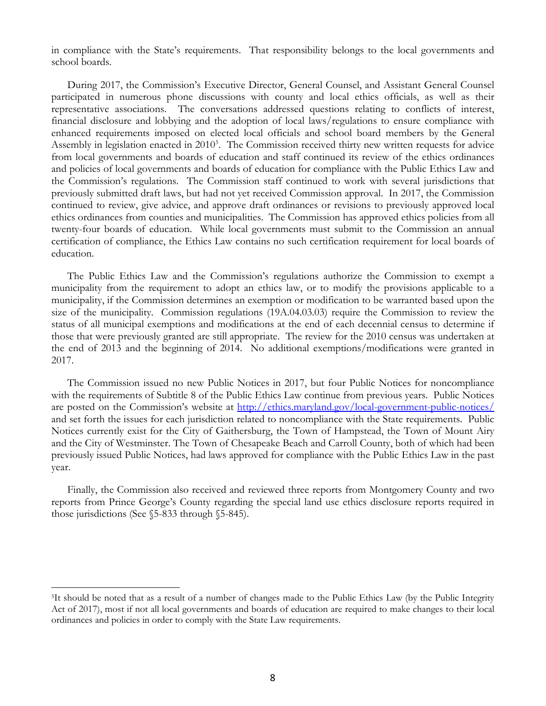in compliance with the State's requirements. That responsibility belongs to the local governments and school boards.

During 2017, the Commission's Executive Director, General Counsel, and Assistant General Counsel participated in numerous phone discussions with county and local ethics officials, as well as their representative associations. The conversations addressed questions relating to conflicts of interest, financial disclosure and lobbying and the adoption of local laws/regulations to ensure compliance with enhanced requirements imposed on elected local officials and school board members by the General Assembly in legislation enacted in 2010<sup>[5](#page-9-0)</sup>. The Commission received thirty new written requests for advice from local governments and boards of education and staff continued its review of the ethics ordinances and policies of local governments and boards of education for compliance with the Public Ethics Law and the Commission's regulations. The Commission staff continued to work with several jurisdictions that previously submitted draft laws, but had not yet received Commission approval. In 2017, the Commission continued to review, give advice, and approve draft ordinances or revisions to previously approved local ethics ordinances from counties and municipalities. The Commission has approved ethics policies from all twenty-four boards of education. While local governments must submit to the Commission an annual certification of compliance, the Ethics Law contains no such certification requirement for local boards of education.

The Public Ethics Law and the Commission's regulations authorize the Commission to exempt a municipality from the requirement to adopt an ethics law, or to modify the provisions applicable to a municipality, if the Commission determines an exemption or modification to be warranted based upon the size of the municipality. Commission regulations (19A.04.03.03) require the Commission to review the status of all municipal exemptions and modifications at the end of each decennial census to determine if those that were previously granted are still appropriate. The review for the 2010 census was undertaken at the end of 2013 and the beginning of 2014. No additional exemptions/modifications were granted in 2017.

The Commission issued no new Public Notices in 2017, but four Public Notices for noncompliance with the requirements of Subtitle 8 of the Public Ethics Law continue from previous years. Public Notices are posted on the Commission's website at<http://ethics.maryland.gov/local-government-public-notices/> and set forth the issues for each jurisdiction related to noncompliance with the State requirements. Public Notices currently exist for the City of Gaithersburg, the Town of Hampstead, the Town of Mount Airy and the City of Westminster. The Town of Chesapeake Beach and Carroll County, both of which had been previously issued Public Notices, had laws approved for compliance with the Public Ethics Law in the past year.

Finally, the Commission also received and reviewed three reports from Montgomery County and two reports from Prince George's County regarding the special land use ethics disclosure reports required in those jurisdictions (See §5-833 through §5-845).

<span id="page-9-0"></span> <sup>5</sup>It should be noted that as a result of a number of changes made to the Public Ethics Law (by the Public Integrity Act of 2017), most if not all local governments and boards of education are required to make changes to their local ordinances and policies in order to comply with the State Law requirements.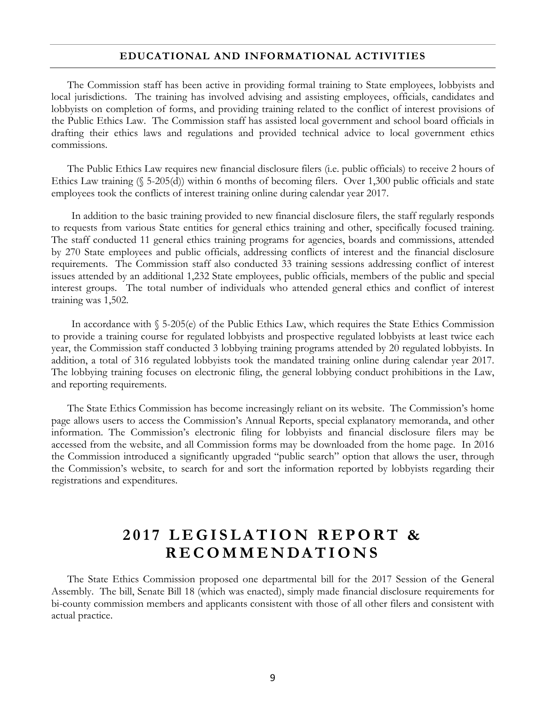#### **EDUCATIONAL AND INFORMATIONAL ACTIVITIES**

The Commission staff has been active in providing formal training to State employees, lobbyists and local jurisdictions. The training has involved advising and assisting employees, officials, candidates and lobbyists on completion of forms, and providing training related to the conflict of interest provisions of the Public Ethics Law. The Commission staff has assisted local government and school board officials in drafting their ethics laws and regulations and provided technical advice to local government ethics commissions.

The Public Ethics Law requires new financial disclosure filers (i.e. public officials) to receive 2 hours of Ethics Law training (§ 5-205(d)) within 6 months of becoming filers. Over 1,300 public officials and state employees took the conflicts of interest training online during calendar year 2017.

In addition to the basic training provided to new financial disclosure filers, the staff regularly responds to requests from various State entities for general ethics training and other, specifically focused training. The staff conducted 11 general ethics training programs for agencies, boards and commissions, attended by 270 State employees and public officials, addressing conflicts of interest and the financial disclosure requirements. The Commission staff also conducted 33 training sessions addressing conflict of interest issues attended by an additional 1,232 State employees, public officials, members of the public and special interest groups. The total number of individuals who attended general ethics and conflict of interest training was 1,502.

In accordance with § 5-205(e) of the Public Ethics Law, which requires the State Ethics Commission to provide a training course for regulated lobbyists and prospective regulated lobbyists at least twice each year, the Commission staff conducted 3 lobbying training programs attended by 20 regulated lobbyists. In addition, a total of 316 regulated lobbyists took the mandated training online during calendar year 2017. The lobbying training focuses on electronic filing, the general lobbying conduct prohibitions in the Law, and reporting requirements.

The State Ethics Commission has become increasingly reliant on its website. The Commission's home page allows users to access the Commission's Annual Reports, special explanatory memoranda, and other information. The Commission's electronic filing for lobbyists and financial disclosure filers may be accessed from the website, and all Commission forms may be downloaded from the home page. In 2016 the Commission introduced a significantly upgraded "public search" option that allows the user, through the Commission's website, to search for and sort the information reported by lobbyists regarding their registrations and expenditures.

# **2017 LEGISLATION REPORT & RECOMMENDATI ONS**

The State Ethics Commission proposed one departmental bill for the 2017 Session of the General Assembly. The bill, Senate Bill 18 (which was enacted), simply made financial disclosure requirements for bi-county commission members and applicants consistent with those of all other filers and consistent with actual practice.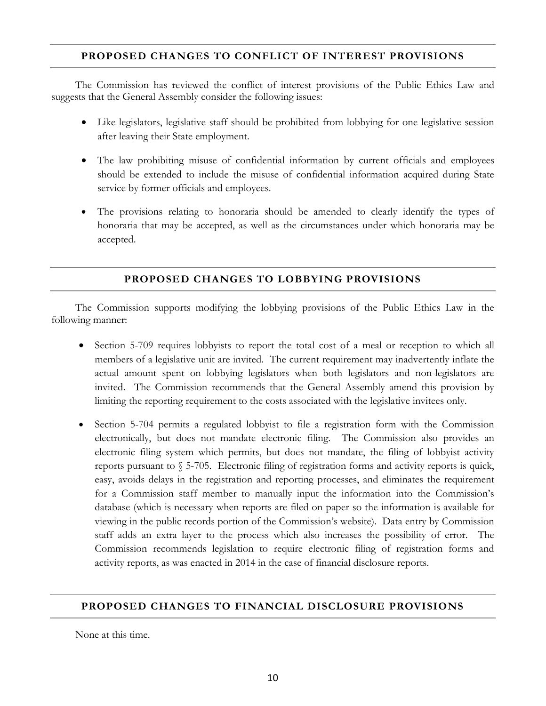## **PROPOSED CHANGES TO CONFLICT OF INTEREST PROVISIONS**

The Commission has reviewed the conflict of interest provisions of the Public Ethics Law and suggests that the General Assembly consider the following issues:

- Like legislators, legislative staff should be prohibited from lobbying for one legislative session after leaving their State employment.
- The law prohibiting misuse of confidential information by current officials and employees should be extended to include the misuse of confidential information acquired during State service by former officials and employees.
- The provisions relating to honoraria should be amended to clearly identify the types of honoraria that may be accepted, as well as the circumstances under which honoraria may be accepted.

## **PROPOSED CHANGES TO LOBBYING PROVISIONS**

The Commission supports modifying the lobbying provisions of the Public Ethics Law in the following manner:

- Section 5-709 requires lobbyists to report the total cost of a meal or reception to which all members of a legislative unit are invited. The current requirement may inadvertently inflate the actual amount spent on lobbying legislators when both legislators and non-legislators are invited. The Commission recommends that the General Assembly amend this provision by limiting the reporting requirement to the costs associated with the legislative invitees only.
- Section 5-704 permits a regulated lobbyist to file a registration form with the Commission electronically, but does not mandate electronic filing. The Commission also provides an electronic filing system which permits, but does not mandate, the filing of lobbyist activity reports pursuant to § 5-705. Electronic filing of registration forms and activity reports is quick, easy, avoids delays in the registration and reporting processes, and eliminates the requirement for a Commission staff member to manually input the information into the Commission's database (which is necessary when reports are filed on paper so the information is available for viewing in the public records portion of the Commission's website). Data entry by Commission staff adds an extra layer to the process which also increases the possibility of error. The Commission recommends legislation to require electronic filing of registration forms and activity reports, as was enacted in 2014 in the case of financial disclosure reports.

### **PROPOSED CHANGES TO FINANCIAL DISCLOSURE PROVISIONS**

None at this time.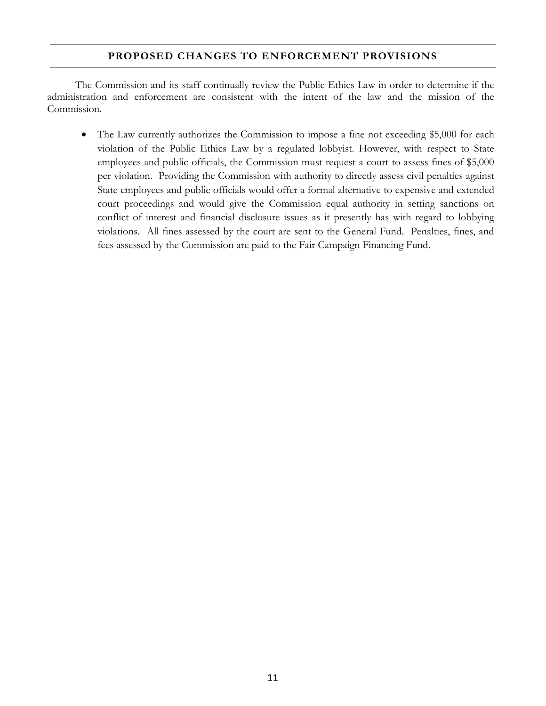### **PROPOSED CHANGES TO ENFORCEMENT PROVISIONS**

The Commission and its staff continually review the Public Ethics Law in order to determine if the administration and enforcement are consistent with the intent of the law and the mission of the Commission.

• The Law currently authorizes the Commission to impose a fine not exceeding \$5,000 for each violation of the Public Ethics Law by a regulated lobbyist. However, with respect to State employees and public officials, the Commission must request a court to assess fines of \$5,000 per violation. Providing the Commission with authority to directly assess civil penalties against State employees and public officials would offer a formal alternative to expensive and extended court proceedings and would give the Commission equal authority in setting sanctions on conflict of interest and financial disclosure issues as it presently has with regard to lobbying violations. All fines assessed by the court are sent to the General Fund. Penalties, fines, and fees assessed by the Commission are paid to the Fair Campaign Financing Fund.